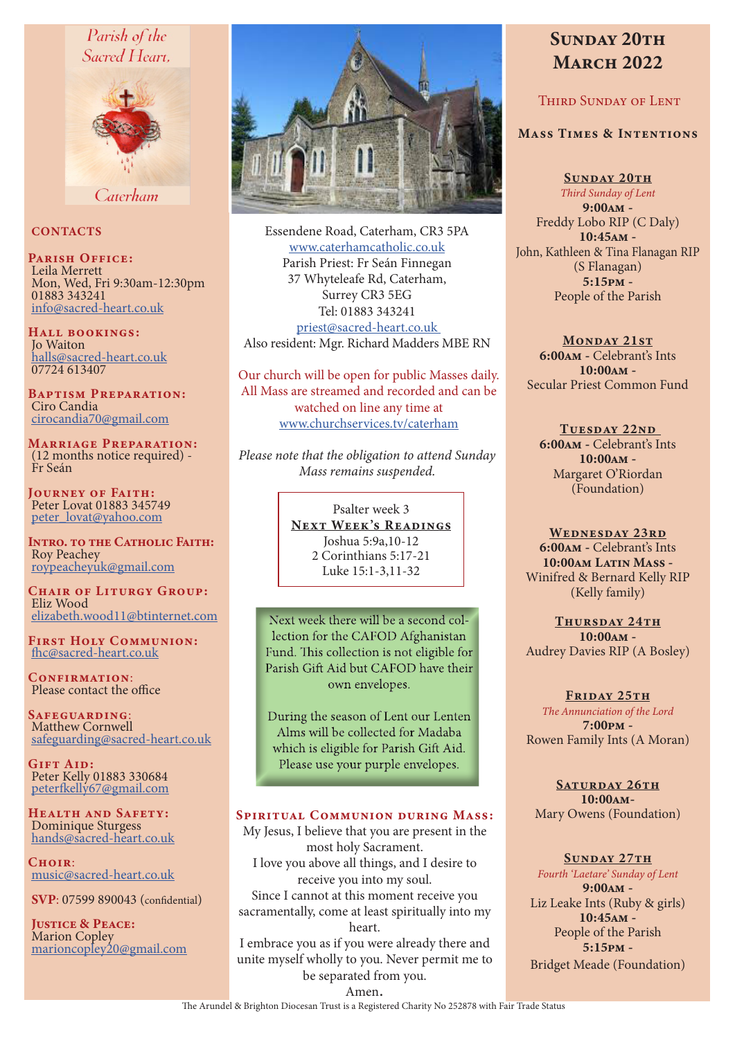# Parish of the Sacred Heart.



Caterham

## **CONTACTS**

PARISH OFFICE: Leila Merrett Mon, Wed, Fri 9:30am-12:30pm 01883 343241 info@sacred-heart.co.uk

Hall bookings: Jo Waiton halls@sacred-heart.co.uk 07724 613407

Baptism Preparation: Ciro Candia cirocandia70@gmail.com

Marriage Preparation: (12 months notice required) - Fr Seán

Journey of Faith: Peter Lovat 01883 345749 peter\_lovat@yahoo.com

INTRO. TO THE CATHOLIC FAITH: Roy Peachey roypeacheyuk@gmail.com

CHAIR OF LITURGY GROUP: Eliz Wood elizabeth.wood11@btinternet.com

First Holy Communion: fhc@sacred-heart.co.uk

CONFIRMATION: Please contact the office

Safeguarding: Matthew Cornwell safeguarding@sacred-heart.co.uk

GIFT AID: Peter Kelly 01883 330684 peterfkelly67@gmail.com

Health and Safety: Dominique Sturgess hands@sacred-heart.co.uk

 $C$ HOIR $\cdot$ music@sacred-heart.co.uk

SVP: 07599 890043 (confidential)

JUSTICE & PEACE: Marion Copley marioncopley20@gmail.com



Essendene Road, Caterham, CR3 5PA www.caterhamcatholic.co.uk Parish Priest: Fr Seán Finnegan 37 Whyteleafe Rd, Caterham, Surrey CR3 5EG Tel: 01883 343241 priest@sacred-heart.co.uk Also resident: Mgr. Richard Madders MBE RN

Our church will be open for public Masses daily. All Mass are streamed and recorded and can be watched on line any time at www.churchservices.tv/caterham

*Please note that the obligation to attend Sunday Mass remains suspended.*

> Psalter week 3 NEXT WEEK'S READINGS Joshua 5:9a,10-12 2 Corinthians 5:17-21 Luke 15:1-3,11-32

Next week there will be a second collection for the CAFOD Afghanistan Fund. This collection is not eligible for Parish Gift Aid but CAFOD have their own envelopes.

During the season of Lent our Lenten Alms will be collected for Madaba which is eligible for Parish Gift Aid. Please use your purple envelopes.

#### Spiritual Communion during Mass:

My Jesus, I believe that you are present in the most holy Sacrament. I love you above all things, and I desire to receive you into my soul. Since I cannot at this moment receive you sacramentally, come at least spiritually into my heart. I embrace you as if you were already there and unite myself wholly to you. Never permit me to

# SUNDAY 20TH **MARCH 2022**

## Third Sunday of Lent

#### Mass Times & Intentions

SUNDAY 20TH *Third Sunday of Lent* 9:00am - Freddy Lobo RIP (C Daly) 10:45am - John, Kathleen & Tina Flanagan RIP (S Flanagan)  $5:15$ <sub>pm</sub> -People of the Parish

MONDAY 21ST 6:00am - Celebrant's Ints 10:00am - Secular Priest Common Fund

TUESDAY 22ND 6:00am - Celebrant's Ints 10:00am - Margaret O'Riordan (Foundation)

WEDNESDAY 23RD 6:00am - Celebrant's Ints 10:00am Latin Mass -Winifred & Bernard Kelly RIP (Kelly family)

THURSDAY 24TH 10:00am - Audrey Davies RIP (A Bosley)

## FRIDAY 25TH

*The Annunciation of the Lord* 7:00pm - Rowen Family Ints (A Moran)

SATURDAY 26TH 10:00am-Mary Owens (Foundation)

#### SUNDAY 27TH

*Fourth 'Laetare' Sunday of Lent* 9:00am - Liz Leake Ints (Ruby & girls) 10:45am - People of the Parish 5:15pm - Bridget Meade (Foundation)

be separated from you. Amen.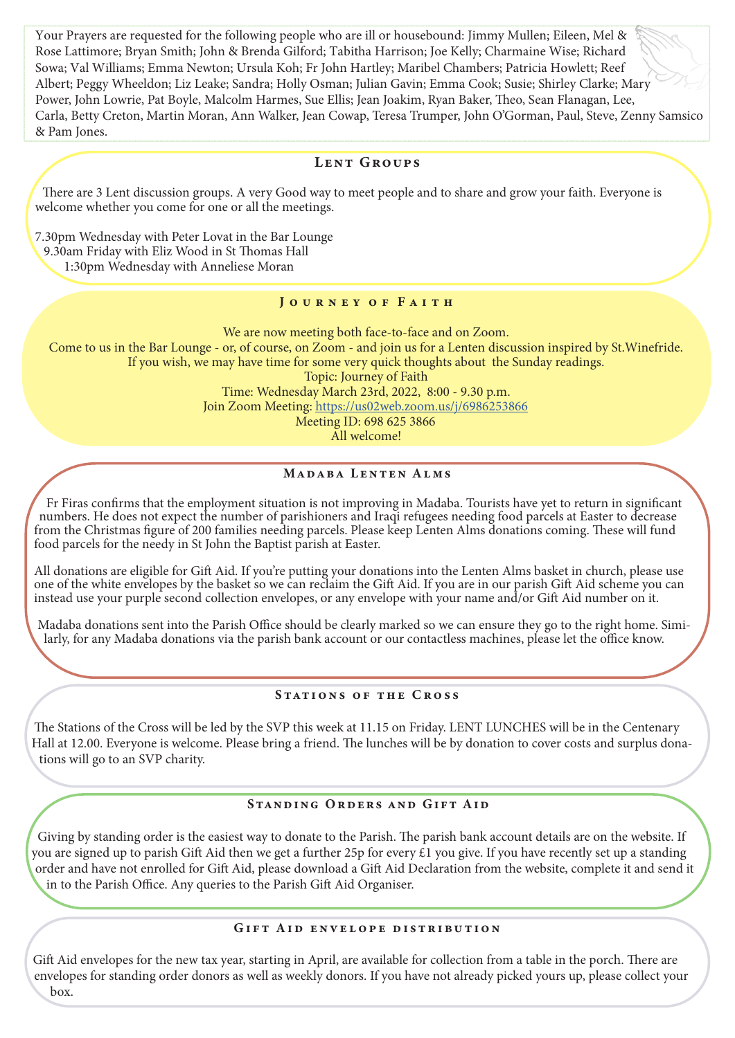Your Prayers are requested for the following people who are ill or housebound: Jimmy Mullen; Eileen, Mel & Rose Lattimore; Bryan Smith; John & Brenda Gilford; Tabitha Harrison; Joe Kelly; Charmaine Wise; Richard Sowa; Val Williams; Emma Newton; Ursula Koh; Fr John Hartley; Maribel Chambers; Patricia Howlett; Reef Albert; Peggy Wheeldon; Liz Leake; Sandra; Holly Osman; Julian Gavin; Emma Cook; Susie; Shirley Clarke; Mary Power, John Lowrie, Pat Boyle, Malcolm Harmes, Sue Ellis; Jean Joakim, Ryan Baker, Theo, Sean Flanagan, Lee, Carla, Betty Creton, Martin Moran, Ann Walker, Jean Cowap, Teresa Trumper, John O'Gorman, Paul, Steve, Zenny Samsico & Pam Jones.

## LENT GROUPS

There are 3 Lent discussion groups. A very Good way to meet people and to share and grow your faith. Everyone is welcome whether you come for one or all the meetings.

7.30pm Wednesday with Peter Lovat in the Bar Lounge 9.30am Friday with Eliz Wood in St Thomas Hall 1:30pm Wednesday with Anneliese Moran

#### JOURNEY OF FAITH

We are now meeting both face-to-face and on Zoom. Come to us in the Bar Lounge - or, of course, on Zoom - and join us for a Lenten discussion inspired by St.Winefride. If you wish, we may have time for some very quick thoughts about the Sunday readings. Topic: Journey of Faith Time: Wednesday March 23rd, 2022, 8:00 - 9.30 p.m. Join Zoom Meeting: https://us02web.zoom.us/j/6986253866 Meeting ID: 698 625 3866

All welcome!

## Madaba Lenten Alms

Fr Firas confirms that the employment situation is not improving in Madaba. Tourists have yet to return in significant numbers. He does not expect the number of parishioners and Iraqi refugees needing food parcels at Easter to decrease from the Christmas figure of 200 families needing parcels. Please keep Lenten Alms donations coming. These will fund food parcels for the needy in St John the Baptist parish at Easter.

All donations are eligible for Gift Aid. If you're putting your donations into the Lenten Alms basket in church, please use one of the white envelopes by the basket so we can reclaim the Gift Aid. If you are in our parish Gift Aid scheme you can instead use your purple second collection envelopes, or any envelope with your name and/or Gift Aid number on it.

Madaba donations sent into the Parish Office should be clearly marked so we can ensure they go to the right home. Similarly, for any Madaba donations via the parish bank account or our contactless machines, please let the office know.

#### STATIONS OF THE CROSS

The Stations of the Cross will be led by the SVP this week at 11.15 on Friday. LENT LUNCHES will be in the Centenary Hall at 12.00. Everyone is welcome. Please bring a friend. The lunches will be by donation to cover costs and surplus donations will go to an SVP charity.

#### Standing Orders and Gift Aid

Giving by standing order is the easiest way to donate to the Parish. The parish bank account details are on the website. If you are signed up to parish Gift Aid then we get a further 25p for every £1 you give. If you have recently set up a standing order and have not enrolled for Gift Aid, please download a Gift Aid Declaration from the website, complete it and send it in to the Parish Office. Any queries to the Parish Gift Aid Organiser.

#### GIFT AID ENVELOPE DISTRIBUTION

Gift Aid envelopes for the new tax year, starting in April, are available for collection from a table in the porch. There are envelopes for standing order donors as well as weekly donors. If you have not already picked yours up, please collect your box.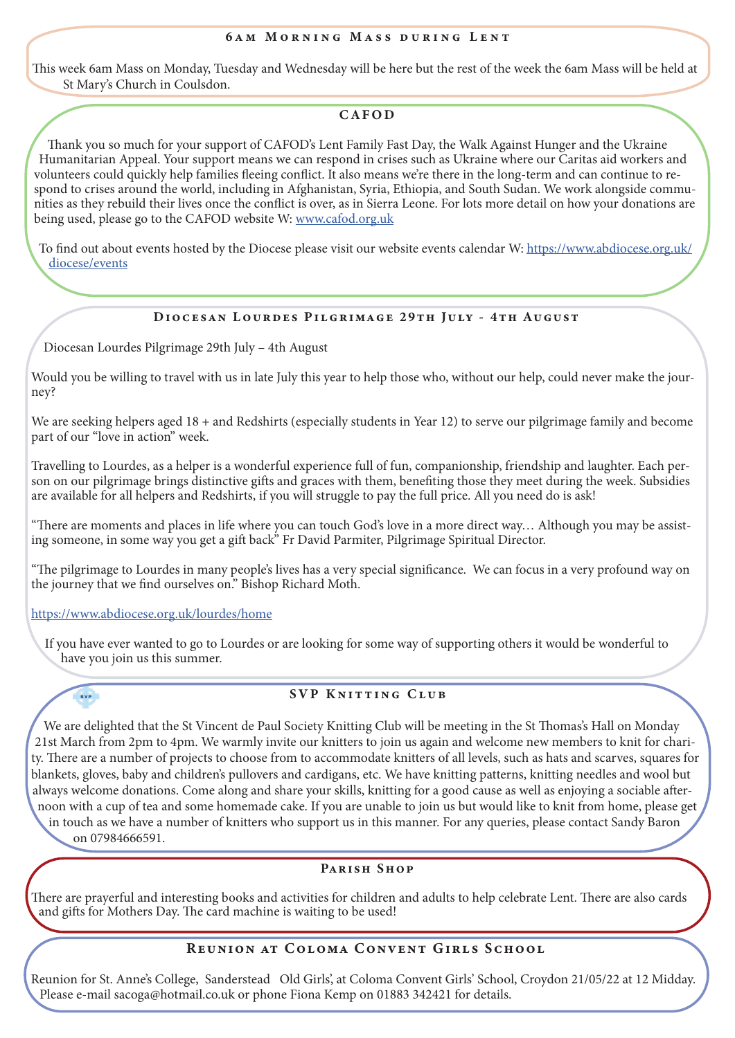This week 6am Mass on Monday, Tuesday and Wednesday will be here but the rest of the week the 6am Mass will be held at St Mary's Church in Coulsdon.

## CAFOD

Thank you so much for your support of CAFOD's Lent Family Fast Day, the Walk Against Hunger and the Ukraine Humanitarian Appeal. Your support means we can respond in crises such as Ukraine where our Caritas aid workers and volunteers could quickly help families fleeing conflict. It also means we're there in the long-term and can continue to respond to crises around the world, including in Afghanistan, Syria, Ethiopia, and South Sudan. We work alongside communities as they rebuild their lives once the conflict is over, as in Sierra Leone. For lots more detail on how your donations are being used, please go to the CAFOD website W: www.cafod.org.uk

To find out about events hosted by the Diocese please visit our website events calendar W: https://www.abdiocese.org.uk/ diocese/events

# Diocesan Lourdes Pilgrimage 29th July - 4th August

Diocesan Lourdes Pilgrimage 29th July – 4th August

Would you be willing to travel with us in late July this year to help those who, without our help, could never make the journey?

We are seeking helpers aged 18 + and Redshirts (especially students in Year 12) to serve our pilgrimage family and become part of our "love in action" week.

Travelling to Lourdes, as a helper is a wonderful experience full of fun, companionship, friendship and laughter. Each person on our pilgrimage brings distinctive gifts and graces with them, benefiting those they meet during the week. Subsidies are available for all helpers and Redshirts, if you will struggle to pay the full price. All you need do is ask!

"There are moments and places in life where you can touch God's love in a more direct way… Although you may be assisting someone, in some way you get a gift back" Fr David Parmiter, Pilgrimage Spiritual Director.

"The pilgrimage to Lourdes in many people's lives has a very special significance. We can focus in a very profound way on the journey that we find ourselves on." Bishop Richard Moth.

#### https://www.abdiocese.org.uk/lourdes/home

SVP

If you have ever wanted to go to Lourdes or are looking for some way of supporting others it would be wonderful to have you join us this summer.

#### SVP KNITTING CLUB

We are delighted that the St Vincent de Paul Society Knitting Club will be meeting in the St Thomas's Hall on Monday 21st March from 2pm to 4pm. We warmly invite our knitters to join us again and welcome new members to knit for charity. There are a number of projects to choose from to accommodate knitters of all levels, such as hats and scarves, squares for blankets, gloves, baby and children's pullovers and cardigans, etc. We have knitting patterns, knitting needles and wool but always welcome donations. Come along and share your skills, knitting for a good cause as well as enjoying a sociable afternoon with a cup of tea and some homemade cake. If you are unable to join us but would like to knit from home, please get

in touch as we have a number of knitters who support us in this manner. For any queries, please contact Sandy Baron on 07984666591.

#### PARISH SHOP

There are prayerful and interesting books and activities for children and adults to help celebrate Lent. There are also cards and gifts for Mothers Day. The card machine is waiting to be used!

## Reunion at Coloma Convent Girls School

Reunion for St. Anne's College, Sanderstead Old Girls', at Coloma Convent Girls' School, Croydon 21/05/22 at 12 Midday. Please e-mail sacoga@hotmail.co.uk or phone Fiona Kemp on 01883 342421 for details.